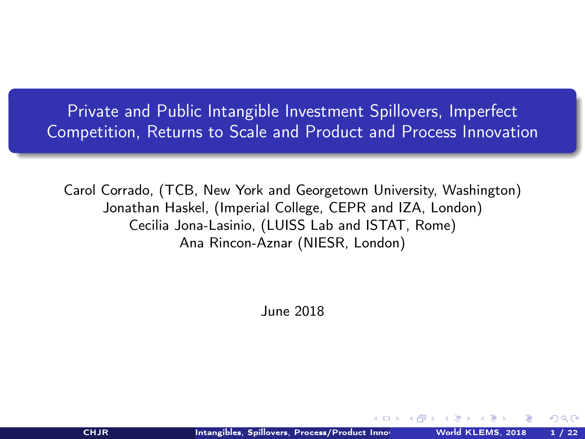<span id="page-0-0"></span>Private and Public Intangible Investment Spillovers, Imperfect Competition, Returns to Scale and Product and Process Innovation

Carol Corrado, (TCB, New York and Georgetown University, Washington) Jonathan Haskel, (Imperial College, CEPR and IZA, London) Cecilia Jona-Lasinio, (LUISS Lab and ISTAT, Rome) Ana Rincon-Aznar (NIESR, London)

June 2018

 $\Omega$ 

 $-5$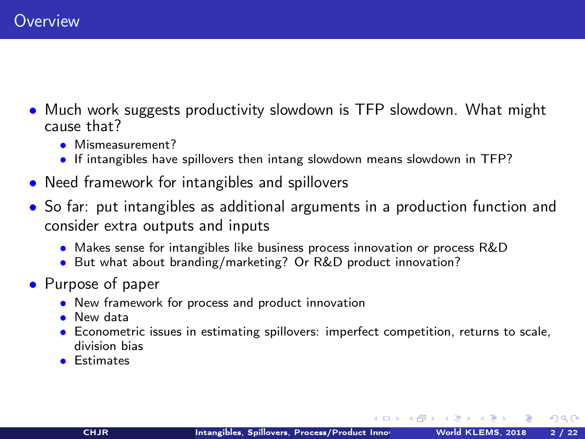- Much work suggests productivity slowdown is TFP slowdown. What might cause that?
	- Mismeasurement?
	- If intangibles have spillovers then intang slowdown means slowdown in TFP?
- Need framework for intangibles and spillovers
- So far: put intangibles as additional arguments in a production function and consider extra outputs and inputs
	- Makes sense for intangibles like business process innovation or process R&D
	- But what about branding/marketing? Or R&D product innovation?
- Purpose of paper
	- New framework for process and product innovation
	- New data
	- Econometric issues in estimating spillovers: imperfect competition, returns to scale, division bias
	- Estimates

 $\Omega$ 

 $($  ロ )  $($   $($   $\oplus$   $)$   $($   $\oplus$   $)$   $($   $\oplus$   $)$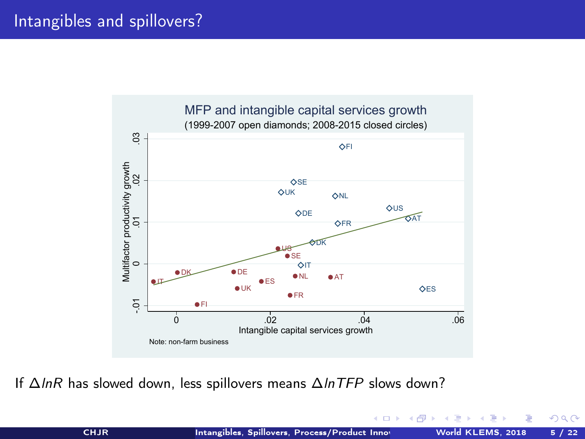

If ∆lnR has slowed down, less spillovers means ∆lnTFP slows down?

 $QQ$ 

 $AB$ 

4 D F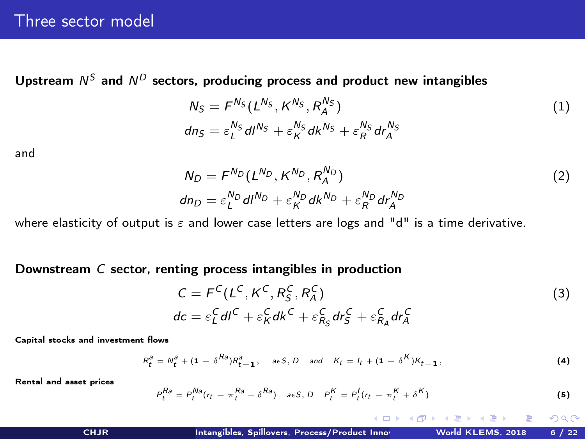Upstream  $N^S$  and  $N^D$  sectors, producing process and product new intangibles

<span id="page-3-0"></span>
$$
N_S = F^{N_S} (L^{N_S}, K^{N_S}, R_A^{N_S})
$$
  
\n
$$
dn_S = \varepsilon_L^{N_S} dl^{N_S} + \varepsilon_K^{N_S} dk^{N_S} + \varepsilon_R^{N_S} dr_A^{N_S}
$$
\n(1)

and

<span id="page-3-1"></span>
$$
N_D = F^{N_D} (L^{N_D}, K^{N_D}, R_A^{N_D})
$$
  
\n
$$
dn_D = \varepsilon_L^{N_D} dl^{N_D} + \varepsilon_K^{N_D} dk^{N_D} + \varepsilon_R^{N_D} dr_A^{N_D}
$$
\n(2)

where elasticity of output is  $\varepsilon$  and lower case letters are logs and "d" is a time derivative.

Downstream C sector, renting process intangibles in production

<span id="page-3-2"></span>
$$
C = FC(LC, KC, RSC, RAC)
$$
  
\n
$$
dc = \varepsilon_LC dIC + \varepsilon_KC dKC + \varepsilon_{RSC} dr_SC + \varepsilon_{RAC} dr_AC
$$
\n(3)

Capital stocks and investment flows

$$
R_t^a = N_t^a + (\mathbf{1} - \delta^{Ra})R_{t-1}^a, \quad a \in S, D \quad and \quad K_t = I_t + (\mathbf{1} - \delta^K)K_{t-1},
$$
 (4)

Rental and asset prices

$$
P_t^{Ra} = P_t^{Na}(r_t - \pi_t^{Ra} + \delta^{Ra}) \quad \text{a.e. } D \quad P_t^K = P_t^I(r_t - \pi_t^K + \delta^K) \tag{5}
$$

**K ロ ト イ 何 ト イ**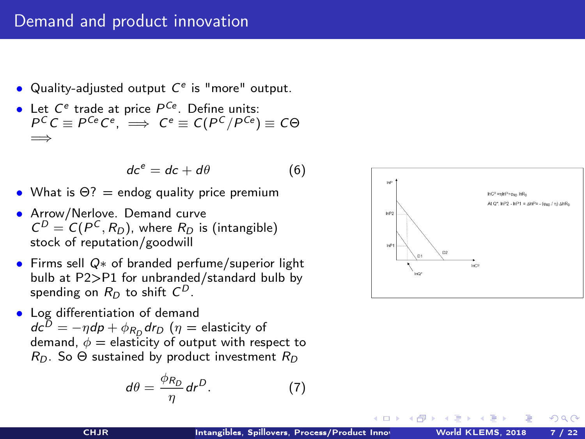## Demand and product innovation

- Quality-adjusted output  $C<sup>e</sup>$  is "more" output.
- Let  $C^e$  trade at price  $P^{Ce}$ . Define units:  $P^C C \equiv P^{Ce} C^e$ ,  $\implies C^e \equiv C(P^C/P^{Ce}) \equiv C \Theta$ =⇒

<span id="page-4-0"></span>
$$
dc^e = dc + d\theta \tag{6}
$$

- What is  $\Theta$ ? = endog quality price premium
- Arrow/Nerlove. Demand curve  $C^D = C(P^C, R_D)$ , where  $R_D$  is (intangible) stock of reputation/goodwill
- Firms sell Q∗ of branded perfume/superior light bulb at P2>P1 for unbranded/standard bulb by spending on  $R_D$  to shift  $\mathsf{C}^D.$
- Log differentiation of demand  $\mathsf{d} \mathsf{c}^D = -\eta \mathsf{d} \mathsf{p} + \phi_{R_D} \mathsf{d} r_D \; ( \eta = \mathsf{elasticity} \; \mathsf{of}$ demand,  $\phi =$  elasticity of output with respect to  $R_{\Omega}$ . So  $\Theta$  sustained by product investment  $R_{\Omega}$

<span id="page-4-1"></span>
$$
d\theta = \frac{\phi_{R_D}}{\eta} dr^D. \tag{7}
$$



 $-1$   $-1$   $-1$ 

4 A 3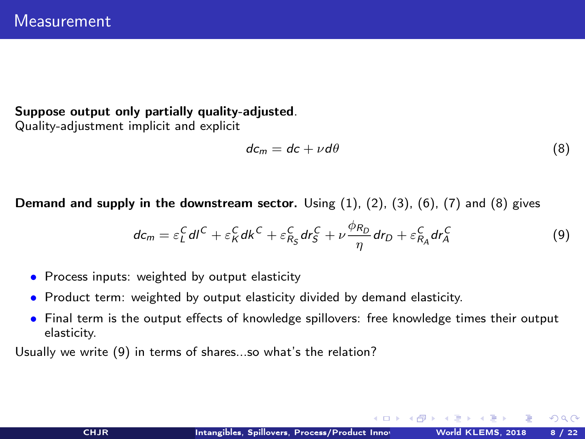## Suppose output only partially quality-adjusted.

Quality-adjustment implicit and explicit

<span id="page-5-0"></span>
$$
dc_m = dc + \nu d\theta \tag{8}
$$

**Demand and supply in the downstream sector.** Using  $(1)$ ,  $(2)$ ,  $(3)$ ,  $(6)$ ,  $(7)$  and  $(8)$  gives

<span id="page-5-1"></span>
$$
dc_m = \varepsilon_L^C dl^C + \varepsilon_R^C dk^C + \varepsilon_{R_S}^C dr_S^C + \nu \frac{\phi_{R_D}}{\eta} dr_D + \varepsilon_{R_A}^C dr_A^C
$$
 (9)

- Process inputs: weighted by output elasticity
- Product term: weighted by output elasticity divided by demand elasticity.
- Final term is the output effects of knowledge spillovers: free knowledge times their output elasticity.

Usually we write [\(9\)](#page-5-1) in terms of shares...so what's the relation?

 $\Omega$ 

 $($  ロ )  $($   $($   $\oplus$   $)$   $($   $\oplus$   $)$   $($   $\oplus$   $)$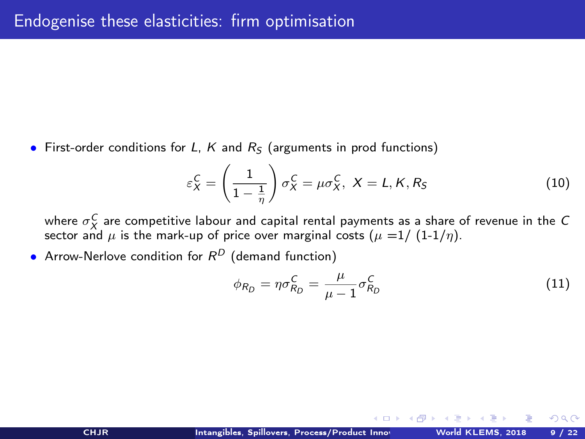• First-order conditions for L, K and  $R<sub>S</sub>$  (arguments in prod functions)

$$
\varepsilon_X^C = \left(\frac{1}{1 - \frac{1}{\eta}}\right) \sigma_X^C = \mu \sigma_X^C, \ X = L, K, R_S \tag{10}
$$

where  $\sigma^C_X$  are competitive labour and capital rental payments as a share of revenue in the  $C$ where  $\sigma_X$  are competitive fabour and capital refigure payments as a share concern and  $\mu$  is the mark-up of price over marginal costs  $(\mu =1/(1-1/\eta))$ .

• Arrow-Nerlove condition for  $R^D$  (demand function)

$$
\phi_{R_D} = \eta \sigma_{R_D}^C = \frac{\mu}{\mu - 1} \sigma_{R_D}^C \tag{11}
$$

**K ロ ト K 何 ト K ヨ ト K**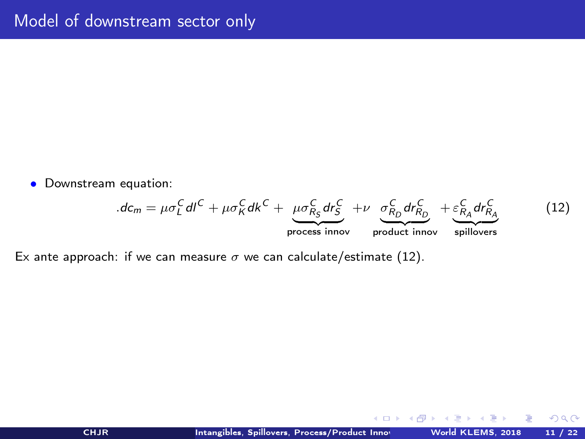• Downstream equation:

<span id="page-7-0"></span>
$$
d\epsilon_m = \mu \sigma_L^C dl^C + \mu \sigma_K^C dk^C + \underbrace{\mu \sigma_{R_S}^C dr_S^C}_{\text{process innov}} + \nu \underbrace{\sigma_{R_D}^C dr_{R_D}^C}_{\text{product innov}} + \underbrace{\varepsilon_{R_A}^C dr_{R_A}^C}_{\text{spillovers}} \tag{12}
$$

Ex ante approach: if we can measure  $\sigma$  we can calculate/estimate [\(12\)](#page-7-0).

 $299$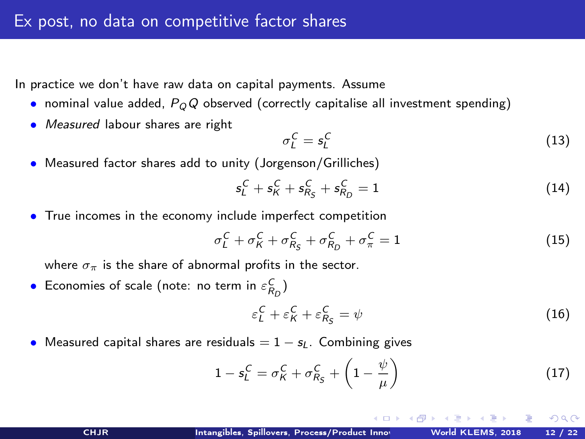In practice we don't have raw data on capital payments. Assume

- nominal value added,  $P_QQ$  observed (correctly capitalise all investment spending)
- Measured labour shares are right

$$
\sigma_L^C = s_L^C \tag{13}
$$

• Measured factor shares add to unity (Jorgenson/Grilliches)

$$
s_L^C + s_K^C + s_{R_S}^C + s_{R_D}^C = 1 \tag{14}
$$

• True incomes in the economy include imperfect competition

$$
\sigma_L^C + \sigma_K^C + \sigma_{R_S}^C + \sigma_{R_D}^C + \sigma_{\pi}^C = 1 \tag{15}
$$

where  $\sigma_{\pi}$  is the share of abnormal profits in the sector.

• Economies of scale (note: no term in  $\varepsilon_{R_D}^C$ )

$$
\varepsilon_L^C + \varepsilon_K^C + \varepsilon_{R_S}^C = \psi \tag{16}
$$

(□ ) ( n ) (

 $\Omega$ 

• Measured capital shares are residuals  $= 1 - s_l$ . Combining gives

$$
1 - s_L^C = \sigma_K^C + \sigma_{R_S}^C + \left(1 - \frac{\psi}{\mu}\right) \tag{17}
$$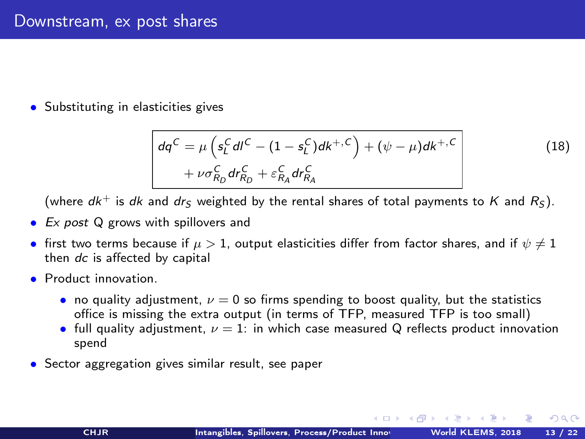• Substituting in elasticities gives

$$
dq^{C} = \mu \left( s_{L}^{C} dl^{C} - (1 - s_{L}^{C})dk^{+,C} \right) + (\psi - \mu)dk^{+,C}
$$
  
+  $\nu \sigma_{R_{D}}^{C} dr_{R_{D}}^{C} + \varepsilon_{R_{A}}^{C} dr_{R_{A}}^{C}$  (18)

(where  $dk^+$  is dk and dr<sub>S</sub> weighted by the rental shares of total payments to K and  $R_5$ ).

- Ex post Q grows with spillovers and
- first two terms because if  $\mu > 1$ , output elasticities differ from factor shares, and if  $\psi \neq 1$ then dc is affected by capital
- **Product innovation** 
	- no quality adjustment,  $\nu = 0$  so firms spending to boost quality, but the statistics office is missing the extra output (in terms of TFP, measured TFP is too small)
	- full quality adjustment,  $\nu = 1$ : in which case measured Q reflects product innovation spend
- Sector aggregation gives similar result, see paper

(□ ) (@ ) (□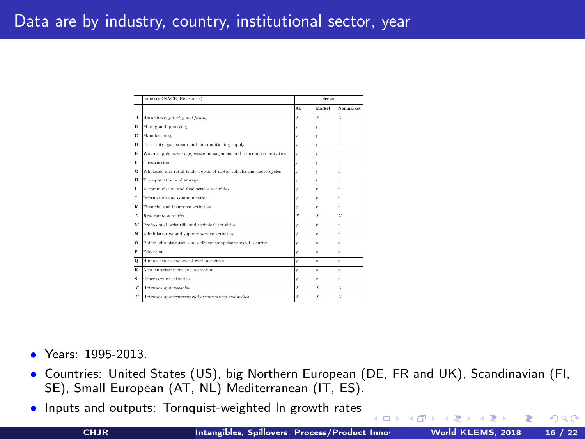## Data are by industry, country, institutional sector, year

|           | Industry (NACE, Revision 2)                                          | Sector |        |              |
|-----------|----------------------------------------------------------------------|--------|--------|--------------|
|           |                                                                      | A11    | Market | Nonmorket    |
| $\lambda$ | Agriculture, forestry and fishing                                    | x      | x      | x            |
| R.        | Mining and quarrying                                                 | v      |        | 'n           |
| Ċ         | Manufacturing                                                        | v      |        | 'n           |
| n         | Electricity, gas, steam and air conditioning supply                  | v      | v      | 'n           |
| F.        | Water supply: sewerage, waste management and remediation activities  | ú      |        | 'n           |
| P.        | Construction                                                         | v      |        | 'n           |
| Ġ         | Wholesale and retail trade: repair of motor vehicles and motorcycles | v      |        | 'n           |
| н         | Transportation and storage                                           | ú      |        | 'n           |
| ۲         | Accommodation and food service setivities                            | v      | v      | 'n           |
| x         | Information and communication                                        | ú      |        | 'n           |
| ĸ         | Financial and insurance activities                                   | v      |        | n            |
| r.        | Real estate activities                                               | x      | x      | x            |
| м         | Professional, scientific and technical activities                    |        |        | 'n           |
| N         | Administrative and support service activities                        | v      | v      | 'n           |
| o.        | Public administration and defence: compulsory social security        | ú      | w.     |              |
| p         | Edwation                                                             | v      | ń      | $\mathbf{v}$ |
| o         | Human health and social work activities                              | v      | w.     |              |
| R         | Arts, entertainment and recreation                                   | ú      | v.     |              |
| š         | Other service activities                                             | v      | v      | 'n           |
| T         | Activities of households                                             | x      | x      | x            |
| U         | Activities of extraterritorial organisations and bodies              | x      | x      | x            |

- Years: 1995-2013.
- Countries: United States (US), big Northern European (DE, FR and UK), Scandinavian (FI, SE), Small European (AT, NL) Mediterranean (IT, ES).
- Inputs and outputs: Tornquist-weighted ln growth rates

 $\Omega$ 

( ロ ) - ( 何 ) -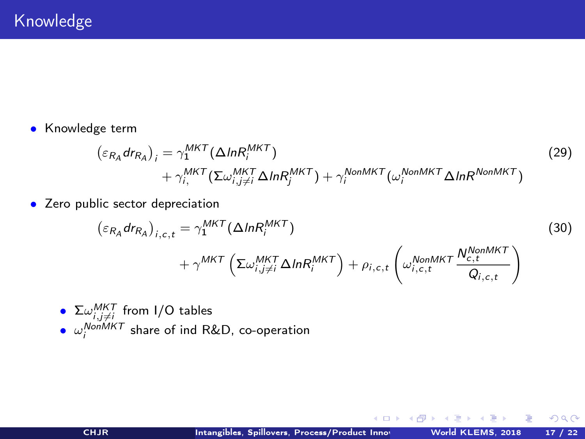• Knowledge term

$$
\begin{aligned} \left(\varepsilon_{R_A} dr_{R_A}\right)_i &= \gamma_1^{MKT} (\Delta l n R_i^{MKT}) \\ &+ \gamma_{i,}^{MKT} (\Sigma \omega_{i,j \neq i}^{MKT} \Delta l n R_j^{MKT}) + \gamma_i^{NonMKT} (\omega_i^{NonMKT} \Delta l n R^{NonMKT}) \end{aligned} \tag{29}
$$

• Zero public sector depreciation

$$
\begin{aligned}\n\left(\varepsilon_{R_A} dr_{R_A}\right)_{i,c,t} &= \gamma_1^{MKT} (\Delta ln R_i^{MKT}) \\
&+ \gamma^{MKT} \left(\Sigma \omega_{i,j\neq i}^{MKT} \Delta ln R_i^{MKT}\right) + \rho_{i,c,t} \left(\omega_{i,c,t}^{NonMKT} \frac{N_{c,t}^{NonMKT}}{Q_{i,c,t}}\right)\n\end{aligned} \tag{30}
$$

\n- $$
\Sigma \omega_{i,j\neq i}^{MKT}
$$
 from I/O tables
\n- $\omega_i^{NonMKT}$  share of ind R&D, co-operation
\n

**← ロ ⊁ → 伊 ⊁ →** 

舌  $\sim$ E  $299$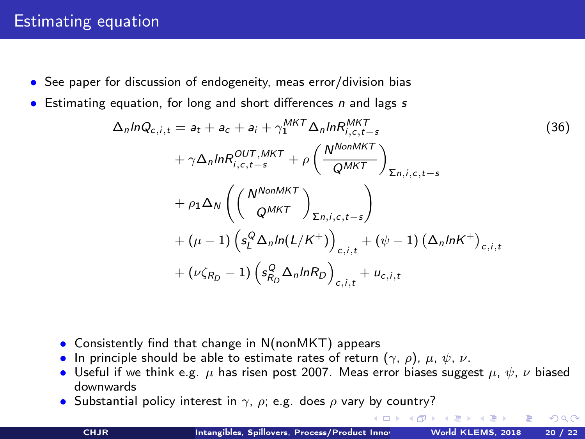## <span id="page-12-0"></span>Estimating equation

- See paper for discussion of endogeneity, meas error/division bias
- Estimating equation, for long and short differences  $n$  and lags  $s$

$$
\Delta_n ln Q_{c,i,t} = a_t + a_c + a_i + \gamma_1^{MKT} \Delta_n ln R_{i,c,t-s}^{MKT}
$$
\n
$$
+ \gamma \Delta_n ln R_{i,c,t-s}^{OUT,MKT} + \rho \left( \frac{N^{NonMKT}}{Q^{MKT}} \right)_{\Sigma_{n,i,c,t-s}}
$$
\n
$$
+ \rho_1 \Delta_N \left( \left( \frac{N^{NonMKT}}{Q^{MKT}} \right)_{\Sigma_{n,i,c,t-s}} \right)
$$
\n
$$
+ (\mu - 1) \left( s_t^Q \Delta_n ln(L/K^+) \right)_{c,i,t} + (\psi - 1) \left( \Delta_n lnK^+ \right)_{c,i,t}
$$
\n
$$
+ (\nu \zeta_{R_D} - 1) \left( s_{R_D}^Q \Delta_n ln R_D \right)_{c,i,t} + u_{c,i,t}
$$
\n
$$
(36)
$$

- Consistently find that change in N(nonMKT) appears
- In principle should be able to estimate rates of return  $(\gamma, \rho)$ ,  $\mu, \psi, \nu$ .
- Useful if we think e.g.  $\mu$  has risen post 2007. Meas error biases suggest  $\mu$ ,  $\psi$ ,  $\nu$  biased downwards
- Substantial policy interest in  $\gamma$ ,  $\rho$ ; e.g. does  $\rho$  vary by country?

 $\Omega$ 

(ロ) (御) (ヨ) (중)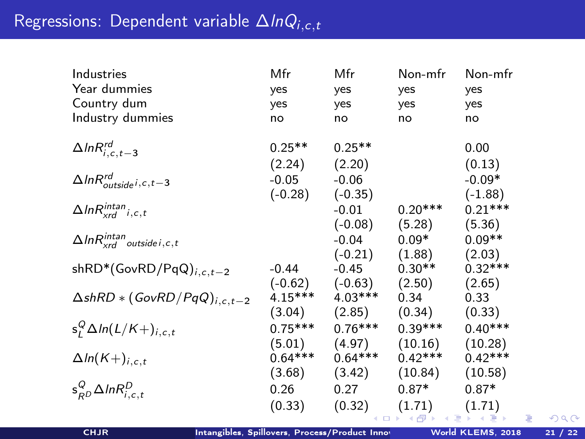<span id="page-13-0"></span>

| Industries                                     | Mfr       | Mfr       | Non-mfr   | Non-mfr   |
|------------------------------------------------|-----------|-----------|-----------|-----------|
| Year dummies                                   | yes       | yes       | yes       | yes       |
| Country dum                                    | yes       | yes       | yes       | yes       |
| Industry dummies                               | no        | no        | no        | no        |
|                                                |           |           |           |           |
| $\Delta ln R^{rd}_{i,c,t-3}$                   | $0.25**$  | $0.25**$  |           | 0.00      |
|                                                | (2.24)    | (2.20)    |           | (0.13)    |
| $\Delta$ In $R_{outside i,c,t-3}^{rd}$         | $-0.05$   | $-0.06$   |           | $-0.09*$  |
|                                                | $(-0.28)$ | $(-0.35)$ |           | $(-1.88)$ |
| $\Delta$ In $R_{xrd}^{intan}$ <sub>i,c,t</sub> |           | $-0.01$   | $0.20***$ | $0.21***$ |
|                                                |           | $(-0.08)$ | (5.28)    | (5.36)    |
| $\Delta$ In $R_{xrd}^{intan}$ outside i, c, t  |           | $-0.04$   | $0.09*$   | $0.09**$  |
|                                                |           | $(-0.21)$ | (1.88)    | (2.03)    |
| $shRD*(GovRD/PqQ)_{i,c,t-2}$                   | $-0.44$   | $-0.45$   | $0.30**$  | $0.32***$ |
|                                                | $(-0.62)$ | $(-0.63)$ | (2.50)    | (2.65)    |
| $\triangle$ shRD $*(GovRD/PqQ)_{i,c,t-2}$      | $4.15***$ | $4.03***$ | 0.34      | 0.33      |
|                                                | (3.04)    | (2.85)    | (0.34)    | (0.33)    |
| $s_i^Q \Delta ln(L/K+)_{i,c,t}$                | $0.75***$ | $0.76***$ | $0.39***$ | $0.40***$ |
|                                                | (5.01)    | (4.97)    | (10.16)   | (10.28)   |
| $\Delta ln(K+)_{i,c,t}$                        | $0.64***$ | $0.64***$ | $0.42***$ | $0.42***$ |
|                                                | (3.68)    | (3.42)    | (10.84)   | (10.58)   |
| $s_{RD}^Q \Delta ln R_{i,c,t}^D$               | 0.26      | 0.27      | $0.87*$   | $0.87*$   |
|                                                | (0.33)    | (0.32)    | (1.71)    | (1.71)    |
|                                                |           |           |           |           |

€

 $299$